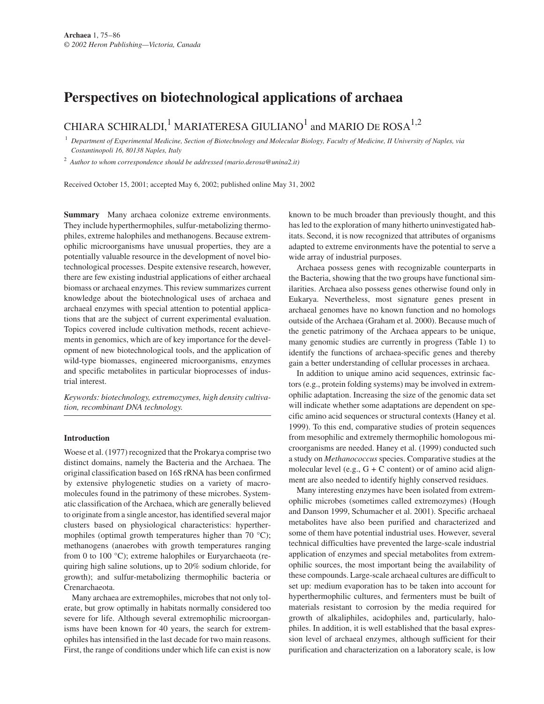# **Perspectives on biotechnological applications of archaea**

# CHIARA SCHIRALDI,<sup>1</sup> MARIATERESA GIULIANO<sup>1</sup> and MARIO DE ROSA<sup>1,2</sup>

<sup>1</sup> *Department of Experimental Medicine, Section of Biotechnology and Molecular Biology, Faculty of Medicine, II University of Naples, via Costantinopoli 16, 80138 Naples, Italy*

<sup>2</sup> *Author to whom correspondence should be addressed (mario.derosa@unina2.it)*

Received October 15, 2001; accepted May 6, 2002; published online May 31, 2002

**Summary** Many archaea colonize extreme environments. They include hyperthermophiles, sulfur-metabolizing thermophiles, extreme halophiles and methanogens. Because extremophilic microorganisms have unusual properties, they are a potentially valuable resource in the development of novel biotechnological processes. Despite extensive research, however, there are few existing industrial applications of either archaeal biomass or archaeal enzymes. This review summarizes current knowledge about the biotechnological uses of archaea and archaeal enzymes with special attention to potential applications that are the subject of current experimental evaluation. Topics covered include cultivation methods, recent achievements in genomics, which are of key importance for the development of new biotechnological tools, and the application of wild-type biomasses, engineered microorganisms, enzymes and specific metabolites in particular bioprocesses of industrial interest.

*Keywords: biotechnology, extremozymes, high density cultivation, recombinant DNA technology.*

#### **Introduction**

Woese et al. (1977) recognized that the Prokarya comprise two distinct domains, namely the Bacteria and the Archaea. The original classification based on 16S rRNA has been confirmed by extensive phylogenetic studies on a variety of macromolecules found in the patrimony of these microbes. Systematic classification of the Archaea, which are generally believed to originate from a single ancestor, has identified several major clusters based on physiological characteristics: hyperthermophiles (optimal growth temperatures higher than 70 °C); methanogens (anaerobes with growth temperatures ranging from 0 to 100 °C); extreme halophiles or Euryarchaeota (requiring high saline solutions, up to 20% sodium chloride, for growth); and sulfur-metabolizing thermophilic bacteria or Crenarchaeota.

Many archaea are extremophiles, microbes that not only tolerate, but grow optimally in habitats normally considered too severe for life. Although several extremophilic microorganisms have been known for 40 years, the search for extremophiles has intensified in the last decade for two main reasons. First, the range of conditions under which life can exist is now known to be much broader than previously thought, and this has led to the exploration of many hitherto uninvestigated habitats. Second, it is now recognized that attributes of organisms adapted to extreme environments have the potential to serve a wide array of industrial purposes.

Archaea possess genes with recognizable counterparts in the Bacteria, showing that the two groups have functional similarities. Archaea also possess genes otherwise found only in Eukarya. Nevertheless, most signature genes present in archaeal genomes have no known function and no homologs outside of the Archaea (Graham et al. 2000). Because much of the genetic patrimony of the Archaea appears to be unique, many genomic studies are currently in progress (Table 1) to identify the functions of archaea-specific genes and thereby gain a better understanding of cellular processes in archaea.

In addition to unique amino acid sequences, extrinsic factors (e.g., protein folding systems) may be involved in extremophilic adaptation. Increasing the size of the genomic data set will indicate whether some adaptations are dependent on specific amino acid sequences or structural contexts (Haney et al. 1999). To this end, comparative studies of protein sequences from mesophilic and extremely thermophilic homologous microorganisms are needed. Haney et al. (1999) conducted such a study on *Methanococcus* species. Comparative studies at the molecular level (e.g.,  $G + C$  content) or of amino acid alignment are also needed to identify highly conserved residues.

Many interesting enzymes have been isolated from extremophilic microbes (sometimes called extremozymes) (Hough and Danson 1999, Schumacher et al. 2001). Specific archaeal metabolites have also been purified and characterized and some of them have potential industrial uses. However, several technical difficulties have prevented the large-scale industrial application of enzymes and special metabolites from extremophilic sources, the most important being the availability of these compounds. Large-scale archaeal cultures are difficult to set up: medium evaporation has to be taken into account for hyperthermophilic cultures, and fermenters must be built of materials resistant to corrosion by the media required for growth of alkaliphiles, acidophiles and, particularly, halophiles. In addition, it is well established that the basal expression level of archaeal enzymes, although sufficient for their purification and characterization on a laboratory scale, is low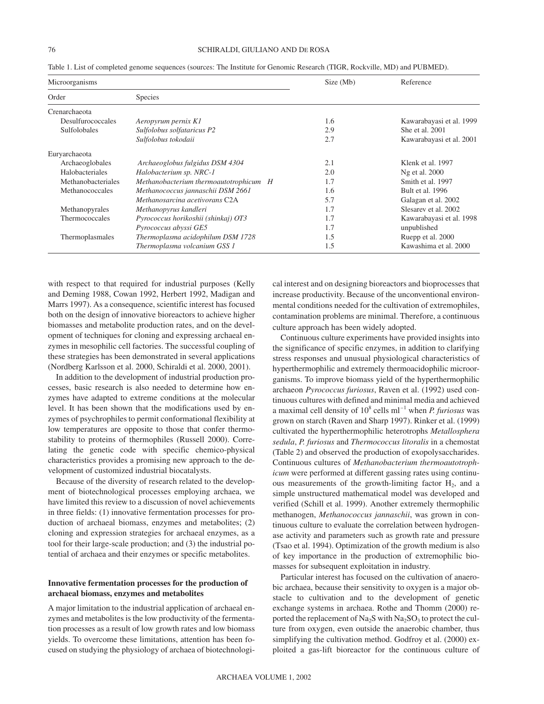| Microorganisms      |                                             | Size (Mb) | Reference                |
|---------------------|---------------------------------------------|-----------|--------------------------|
| Order               | <b>Species</b>                              |           |                          |
| Crenarchaeota       |                                             |           |                          |
| Desulfurococcales   | Aeropyrum pernix K1                         | 1.6       | Kawarabayasi et al. 1999 |
| <b>Sulfolobales</b> | Sulfolobus solfataricus P2                  | 2.9       | She et al. 2001          |
|                     | Sulfolobus tokodaii                         | 2.7       | Kawarabayasi et al. 2001 |
| Euryarchaeota       |                                             |           |                          |
| Archaeoglobales     | Archaeoglobus fulgidus DSM 4304             | 2.1       | Klenk et al. 1997        |
| Halobacteriales     | Halobacterium sp. NRC-1                     | 2.0       | Ng et al. 2000           |
| Methanobacteriales  | Methanobacterium thermoautotrophicum H      | 1.7       | Smith et al. 1997        |
| Methanococcales     | Methanococcus jannaschii DSM 2661           | 1.6       | Bult et al. 1996         |
|                     | Methanosarcina acetivorans C <sub>2</sub> A | 5.7       | Galagan et al. 2002      |
| Methanopyrales      | Methanopyrus kandleri                       | 1.7       | Slesarev et al. 2002     |
| Thermococcales      | Pyrococcus horikoshii (shinkaj) OT3         | 1.7       | Kawarabayasi et al. 1998 |
|                     | Pyrococcus abyssi GE5                       | 1.7       | unpublished              |
| Thermoplasmales     | Thermoplasma acidophilum DSM 1728           | 1.5       | Ruepp et al. 2000        |
|                     | Thermoplasma volcanium GSS 1                | 1.5       | Kawashima et al. 2000    |

Table 1. List of completed genome sequences (sources: The Institute for Genomic Research (TIGR, Rockville, MD) and PUBMED).

with respect to that required for industrial purposes (Kelly and Deming 1988, Cowan 1992, Herbert 1992, Madigan and Marrs 1997). As a consequence, scientific interest has focused both on the design of innovative bioreactors to achieve higher biomasses and metabolite production rates, and on the development of techniques for cloning and expressing archaeal enzymes in mesophilic cell factories. The successful coupling of these strategies has been demonstrated in several applications (Nordberg Karlsson et al. 2000, Schiraldi et al. 2000, 2001).

In addition to the development of industrial production processes, basic research is also needed to determine how enzymes have adapted to extreme conditions at the molecular level. It has been shown that the modifications used by enzymes of psychrophiles to permit conformational flexibility at low temperatures are opposite to those that confer thermostability to proteins of thermophiles (Russell 2000). Correlating the genetic code with specific chemico-physical characteristics provides a promising new approach to the development of customized industrial biocatalysts.

Because of the diversity of research related to the development of biotechnological processes employing archaea, we have limited this review to a discussion of novel achievements in three fields: (1) innovative fermentation processes for production of archaeal biomass, enzymes and metabolites; (2) cloning and expression strategies for archaeal enzymes, as a tool for their large-scale production; and (3) the industrial potential of archaea and their enzymes or specific metabolites.

## **Innovative fermentation processes for the production of archaeal biomass, enzymes and metabolites**

A major limitation to the industrial application of archaeal enzymes and metabolites is the low productivity of the fermentation processes as a result of low growth rates and low biomass yields. To overcome these limitations, attention has been focused on studying the physiology of archaea of biotechnological interest and on designing bioreactors and bioprocesses that increase productivity. Because of the unconventional environmental conditions needed for the cultivation of extremophiles, contamination problems are minimal. Therefore, a continuous culture approach has been widely adopted.

Continuous culture experiments have provided insights into the significance of specific enzymes, in addition to clarifying stress responses and unusual physiological characteristics of hyperthermophilic and extremely thermoacidophilic microorganisms. To improve biomass yield of the hyperthermophilic archaeon *Pyrococcus furiosus*, Raven et al. (1992) used continuous cultures with defined and minimal media and achieved a maximal cell density of  $10^8$  cells ml<sup>-1</sup> when *P. furiosus* was grown on starch (Raven and Sharp 1997). Rinker et al. (1999) cultivated the hyperthermophilic heterotrophs *Metallosphera sedula*, *P. furiosus* and *Thermococcus litoralis* in a chemostat (Table 2) and observed the production of exopolysaccharides. Continuous cultures of *Methanobacterium thermoautotrophicum* were performed at different gassing rates using continuous measurements of the growth-limiting factor  $H_2$ , and a simple unstructured mathematical model was developed and verified (Schill et al. 1999). Another extremely thermophilic methanogen, *Methanococcus jannaschii*, was grown in continuous culture to evaluate the correlation between hydrogenase activity and parameters such as growth rate and pressure (Tsao et al. 1994). Optimization of the growth medium is also of key importance in the production of extremophilic biomasses for subsequent exploitation in industry.

Particular interest has focused on the cultivation of anaerobic archaea, because their sensitivity to oxygen is a major obstacle to cultivation and to the development of genetic exchange systems in archaea. Rothe and Thomm (2000) reported the replacement of  $Na<sub>2</sub>S$  with  $Na<sub>2</sub>SO<sub>3</sub>$  to protect the culture from oxygen, even outside the anaerobic chamber, thus simplifying the cultivation method. Godfroy et al. (2000) exploited a gas-lift bioreactor for the continuous culture of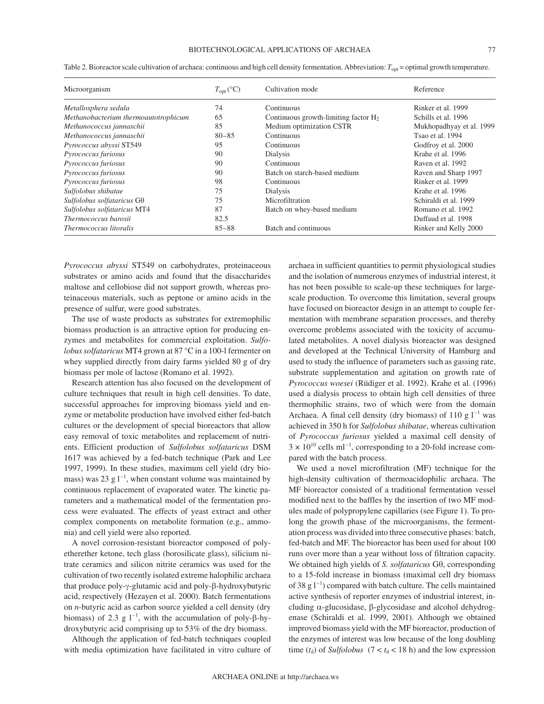#### BIOTECHNOLOGICAL APPLICATIONS OF ARCHAEA 77

| Microorganism                        | $T_{\text{opt}}({}^{\circ}C)$ | Cultivation mode                        | Reference                |
|--------------------------------------|-------------------------------|-----------------------------------------|--------------------------|
| Metallosphera sedula                 | 74                            | Continuous                              | Rinker et al. 1999       |
| Methanobacterium thermoautotrophicum | 65                            | Continuous growth-limiting factor $H_2$ | Schills et al. 1996      |
| Methanococcus jannaschii             | 85                            | Medium optimization CSTR                | Mukhopadhyay et al. 1999 |
| Methanococcus jannaschii             | $80 - 85$                     | Continuous                              | Tsao et al. 1994         |
| Pyrococcus abyssi ST549              | 95                            | Continuous                              | Godfroy et al. 2000      |
| Pyrococcus furiosus                  | 90                            | Dialysis                                | Krahe et al. 1996        |
| Pyrococcus furiosus                  | 90                            | Continuous                              | Raven et al. 1992        |
| Pyrococcus furiosus                  | 90                            | Batch on starch-based medium            | Raven and Sharp 1997     |
| Pyrococcus furiosus                  | 98                            | Continuous                              | Rinker et al. 1999       |
| Sulfolobus shibatae                  | 75                            | Dialysis                                | Krahe et al. 1996        |
| Sulfolobus solfataricus $G\theta$    | 75                            | Microfiltration                         | Schiraldi et al. 1999    |
| Sulfolobus solfataricus MT4          | 87                            | Batch on whey-based medium              | Romano et al. 1992       |
| Thermococcus barosii                 | 82.5                          |                                         | Duffaud et al. 1998      |
| <i>Thermococcus litoralis</i>        | $85 - 88$                     | Batch and continuous                    | Rinker and Kelly 2000    |

Table 2. Bioreactor scale cultivation of archaea: continuous and high cell density fermentation. Abbreviation:  $T_{\text{opt}}$  = optimal growth temperature.

*Pyrococcus abyssi* ST549 on carbohydrates, proteinaceous substrates or amino acids and found that the disaccharides maltose and cellobiose did not support growth, whereas proteinaceous materials, such as peptone or amino acids in the presence of sulfur, were good substrates.

The use of waste products as substrates for extremophilic biomass production is an attractive option for producing enzymes and metabolites for commercial exploitation. *Sulfolobus solfataricus* MT4 grown at 87 °C in a 100-l fermenter on whey supplied directly from dairy farms yielded 80 g of dry biomass per mole of lactose (Romano et al. 1992).

Research attention has also focused on the development of culture techniques that result in high cell densities. To date, successful approaches for improving biomass yield and enzyme or metabolite production have involved either fed-batch cultures or the development of special bioreactors that allow easy removal of toxic metabolites and replacement of nutrients. Efficient production of *Sulfolobus solfataricus* DSM 1617 was achieved by a fed-batch technique (Park and Lee 1997, 1999). In these studies, maximum cell yield (dry biomass) was 23 g  $1^{-1}$ , when constant volume was maintained by continuous replacement of evaporated water. The kinetic parameters and a mathematical model of the fermentation process were evaluated. The effects of yeast extract and other complex components on metabolite formation (e.g., ammonia) and cell yield were also reported.

A novel corrosion-resistant bioreactor composed of polyetherether ketone, tech glass (borosilicate glass), silicium nitrate ceramics and silicon nitrite ceramics was used for the cultivation of two recently isolated extreme halophilic archaea that produce poly-γ-glutamic acid and poly-β-hydroxybutyric acid, respectively (Hezayen et al. 2000). Batch fermentations on *n*-butyric acid as carbon source yielded a cell density (dry biomass) of 2.3 g  $1^{-1}$ , with the accumulation of poly- $\beta$ -hydroxybutyric acid comprising up to 53% of the dry biomass.

Although the application of fed-batch techniques coupled with media optimization have facilitated in vitro culture of archaea in sufficient quantities to permit physiological studies and the isolation of numerous enzymes of industrial interest, it has not been possible to scale-up these techniques for largescale production. To overcome this limitation, several groups have focused on bioreactor design in an attempt to couple fermentation with membrane separation processes, and thereby overcome problems associated with the toxicity of accumulated metabolites. A novel dialysis bioreactor was designed and developed at the Technical University of Hamburg and used to study the influence of parameters such as gassing rate, substrate supplementation and agitation on growth rate of *Pyrococcus woesei* (Rüdiger et al. 1992). Krahe et al. (1996) used a dialysis process to obtain high cell densities of three thermophilic strains, two of which were from the domain Archaea. A final cell density (dry biomass) of 110 g  $1^{-1}$  was achieved in 350 h for *Sulfolobus shibatae*, whereas cultivation of *Pyrococcus furiosus* yielded a maximal cell density of  $3 \times 10^{10}$  cells ml<sup>-1</sup>, corresponding to a 20-fold increase compared with the batch process.

We used a novel microfiltration (MF) technique for the high-density cultivation of thermoacidophilic archaea. The MF bioreactor consisted of a traditional fermentation vessel modified next to the baffles by the insertion of two MF modules made of polypropylene capillaries (see Figure 1). To prolong the growth phase of the microorganisms, the fermentation process was divided into three consecutive phases: batch, fed-batch and MF. The bioreactor has been used for about 100 runs over more than a year without loss of filtration capacity. We obtained high yields of *S. solfataricus* Gθ, corresponding to a 15-fold increase in biomass (maximal cell dry biomass of 38 g  $1^{-1}$ ) compared with batch culture. The cells maintained active synthesis of reporter enzymes of industrial interest, including  $\alpha$ -glucosidase,  $\beta$ -glycosidase and alcohol dehydrogenase (Schiraldi et al. 1999, 2001). Although we obtained improved biomass yield with the MF bioreactor, production of the enzymes of interest was low because of the long doubling time ( $t_d$ ) of *Sulfolobus* (7 <  $t_d$  < 18 h) and the low expression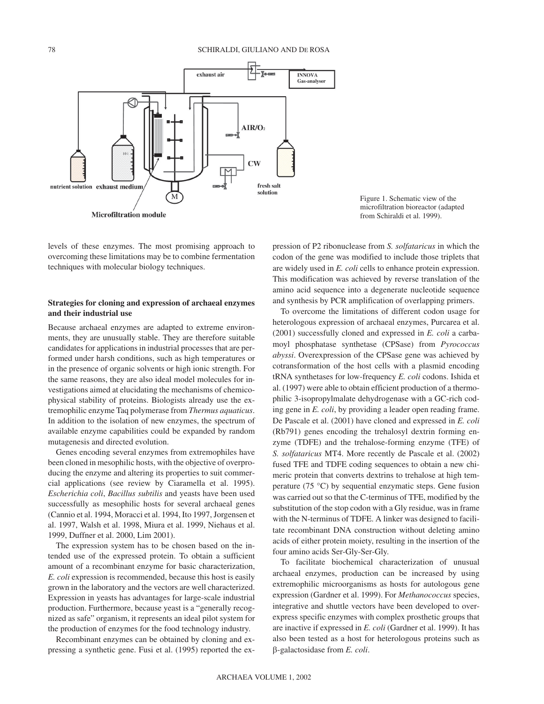

Figure 1. Schematic view of the microfiltration bioreactor (adapted from Schiraldi et al. 1999).

levels of these enzymes. The most promising approach to overcoming these limitations may be to combine fermentation techniques with molecular biology techniques.

# **Strategies for cloning and expression of archaeal enzymes and their industrial use**

Because archaeal enzymes are adapted to extreme environments, they are unusually stable. They are therefore suitable candidates for applications in industrial processes that are performed under harsh conditions, such as high temperatures or in the presence of organic solvents or high ionic strength. For the same reasons, they are also ideal model molecules for investigations aimed at elucidating the mechanisms of chemicophysical stability of proteins. Biologists already use the extremophilic enzyme Taq polymerase from *Thermus aquaticus*. In addition to the isolation of new enzymes, the spectrum of available enzyme capabilities could be expanded by random mutagenesis and directed evolution.

Genes encoding several enzymes from extremophiles have been cloned in mesophilic hosts, with the objective of overproducing the enzyme and altering its properties to suit commercial applications (see review by Ciaramella et al. 1995). *Escherichia coli*, *Bacillus subtilis* and yeasts have been used successfully as mesophilic hosts for several archaeal genes (Cannio et al. 1994, Moracci et al. 1994, Ito 1997, Jorgensen et al. 1997, Walsh et al. 1998, Miura et al. 1999, Niehaus et al. 1999, Duffner et al. 2000, Lim 2001).

The expression system has to be chosen based on the intended use of the expressed protein. To obtain a sufficient amount of a recombinant enzyme for basic characterization, *E. coli* expression is recommended, because this host is easily grown in the laboratory and the vectors are well characterized. Expression in yeasts has advantages for large-scale industrial production. Furthermore, because yeast is a "generally recognized as safe" organism, it represents an ideal pilot system for the production of enzymes for the food technology industry.

Recombinant enzymes can be obtained by cloning and expressing a synthetic gene. Fusi et al. (1995) reported the expression of P2 ribonuclease from *S. solfataricus* in which the codon of the gene was modified to include those triplets that are widely used in *E. coli* cells to enhance protein expression. This modification was achieved by reverse translation of the amino acid sequence into a degenerate nucleotide sequence and synthesis by PCR amplification of overlapping primers.

To overcome the limitations of different codon usage for heterologous expression of archaeal enzymes, Purcarea et al. (2001) successfully cloned and expressed in *E. coli* a carbamoyl phosphatase synthetase (CPSase) from *Pyrococcus abyssi*. Overexpression of the CPSase gene was achieved by cotransformation of the host cells with a plasmid encoding tRNA synthetases for low-frequency *E. coli* codons. Ishida et al. (1997) were able to obtain efficient production of a thermophilic 3-isopropylmalate dehydrogenase with a GC-rich coding gene in *E. coli*, by providing a leader open reading frame. De Pascale et al. (2001) have cloned and expressed in *E. coli* (Rb791) genes encoding the trehalosyl dextrin forming enzyme (TDFE) and the trehalose-forming enzyme (TFE) of *S. solfataricus* MT4. More recently de Pascale et al. (2002) fused TFE and TDFE coding sequences to obtain a new chimeric protein that converts dextrins to trehalose at high temperature (75 °C) by sequential enzymatic steps. Gene fusion was carried out so that the C-terminus of TFE, modified by the substitution of the stop codon with a Gly residue, was in frame with the N-terminus of TDFE. A linker was designed to facilitate recombinant DNA construction without deleting amino acids of either protein moiety, resulting in the insertion of the four amino acids Ser-Gly-Ser-Gly.

To facilitate biochemical characterization of unusual archaeal enzymes, production can be increased by using extremophilic microorganisms as hosts for autologous gene expression (Gardner et al. 1999). For *Methanococcus* species, integrative and shuttle vectors have been developed to overexpress specific enzymes with complex prosthetic groups that are inactive if expressed in *E. coli* (Gardner et al. 1999). It has also been tested as a host for heterologous proteins such as --galactosidase from *E. coli*.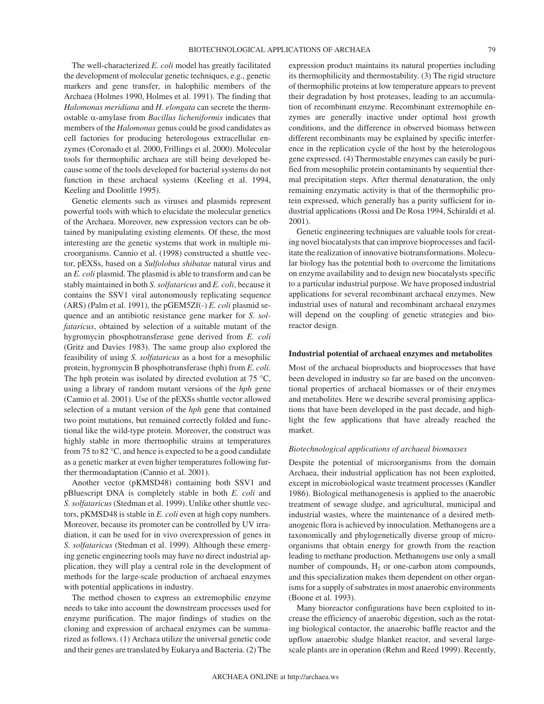The well-characterized *E. coli* model has greatly facilitated the development of molecular genetic techniques, e.g., genetic markers and gene transfer, in halophilic members of the Archaea (Holmes 1990, Holmes et al. 1991). The finding that *Halomonas meridiana* and *H. elongata* can secrete the thermostable  $\alpha$ -amylase from *Bacillus licheniformis* indicates that members of the *Halomonas* genus could be good candidates as cell factories for producing heterologous extracellular enzymes (Coronado et al. 2000, Frillings et al. 2000). Molecular tools for thermophilic archaea are still being developed because some of the tools developed for bacterial systems do not function in these archaeal systems (Keeling et al. 1994, Keeling and Doolittle 1995).

Genetic elements such as viruses and plasmids represent powerful tools with which to elucidate the molecular genetics of the Archaea. Moreover, new expression vectors can be obtained by manipulating existing elements. Of these, the most interesting are the genetic systems that work in multiple microorganisms. Cannio et al. (1998) constructed a shuttle vector, pEXSs, based on a *Sulfolobus shibatae* natural virus and an *E. coli* plasmid. The plasmid is able to transform and can be stably maintained in both *S. solfataricus* and *E. coli*, because it contains the SSV1 viral autonomously replicating sequence (ARS) (Palm et al. 1991), the pGEM5Zf(-) *E. coli* plasmid sequence and an antibiotic resistance gene marker for *S*. *solfataricus*, obtained by selection of a suitable mutant of the hygromycin phosphotransferase gene derived from *E. coli* (Gritz and Davies 1983). The same group also explored the feasibility of using *S. solfataricus* as a host for a mesophilic protein, hygromycin B phosphotransferase (hph) from *E*. *coli*. The hph protein was isolated by directed evolution at  $75 \text{ °C}$ , using a library of random mutant versions of the *hph* gene (Cannio et al. 2001). Use of the pEXSs shuttle vector allowed selection of a mutant version of the *hph* gene that contained two point mutations, but remained correctly folded and functional like the wild-type protein. Moreover, the construct was highly stable in more thermophilic strains at temperatures from 75 to 82 °C, and hence is expected to be a good candidate as a genetic marker at even higher temperatures following further thermoadaptation (Cannio et al. 2001).

Another vector (pKMSD48) containing both SSV1 and pBluescript DNA is completely stable in both *E. coli* and *S. solfataricus* (Stedman et al. 1999). Unlike other shuttle vectors, pKMSD48 is stable in *E. coli* even at high copy numbers. Moreover, because its promoter can be controlled by UV irradiation, it can be used for in vivo overexpression of genes in *S. solfataricus* (Stedman et al. 1999). Although these emerging genetic engineering tools may have no direct industrial application, they will play a central role in the development of methods for the large-scale production of archaeal enzymes with potential applications in industry.

The method chosen to express an extremophilic enzyme needs to take into account the downstream processes used for enzyme purification. The major findings of studies on the cloning and expression of archaeal enzymes can be summarized as follows. (1) Archaea utilize the universal genetic code and their genes are translated by Eukarya and Bacteria. (2) The expression product maintains its natural properties including its thermophilicity and thermostability. (3) The rigid structure of thermophilic proteins at low temperature appears to prevent their degradation by host proteases, leading to an accumulation of recombinant enzyme. Recombinant extremophile enzymes are generally inactive under optimal host growth conditions, and the difference in observed biomass between different recombinants may be explained by specific interference in the replication cycle of the host by the heterologous gene expressed. (4) Thermostable enzymes can easily be purified from mesophilic protein contaminants by sequential thermal precipitation steps. After thermal denaturation, the only remaining enzymatic activity is that of the thermophilic protein expressed, which generally has a purity sufficient for industrial applications (Rossi and De Rosa 1994, Schiraldi et al. 2001).

Genetic engineering techniques are valuable tools for creating novel biocatalysts that can improve bioprocesses and facilitate the realization of innovative biotransformations. Molecular biology has the potential both to overcome the limitations on enzyme availability and to design new biocatalysts specific to a particular industrial purpose. We have proposed industrial applications for several recombinant archaeal enzymes. New industrial uses of natural and recombinant archaeal enzymes will depend on the coupling of genetic strategies and bioreactor design.

#### **Industrial potential of archaeal enzymes and metabolites**

Most of the archaeal bioproducts and bioprocesses that have been developed in industry so far are based on the unconventional properties of archaeal biomasses or of their enzymes and metabolites. Here we describe several promising applications that have been developed in the past decade, and highlight the few applications that have already reached the market.

# *Biotechnological applications of archaeal biomasses*

Despite the potential of microorganisms from the domain Archaea, their industrial application has not been exploited, except in microbiological waste treatment processes (Kandler 1986). Biological methanogenesis is applied to the anaerobic treatment of sewage sludge, and agricultural, municipal and industrial wastes, where the maintenance of a desired methanogenic flora is achieved by innoculation. Methanogens are a taxonomically and phylogenetically diverse group of microorganisms that obtain energy for growth from the reaction leading to methane production. Methanogens use only a small number of compounds,  $H_2$  or one-carbon atom compounds, and this specialization makes them dependent on other organisms for a supply of substrates in most anaerobic environments (Boone et al. 1993).

Many bioreactor configurations have been exploited to increase the efficiency of anaerobic digestion, such as the rotating biological contactor, the anaerobic baffle reactor and the upflow anaerobic sludge blanket reactor, and several largescale plants are in operation (Rehm and Reed 1999). Recently,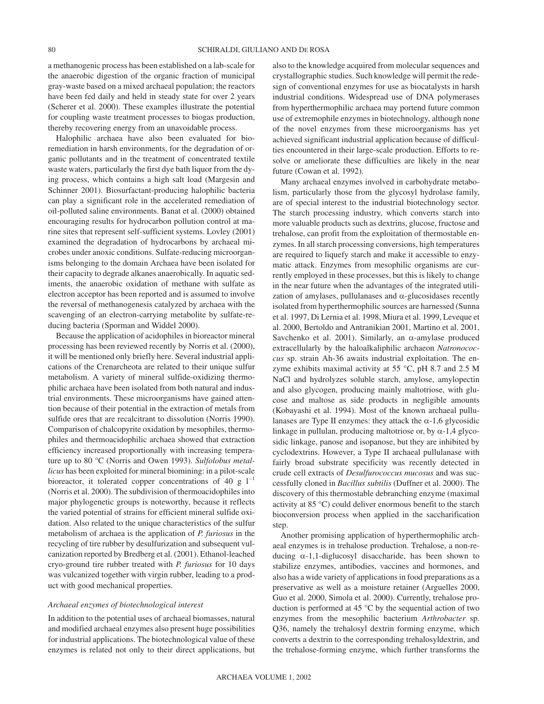a methanogenic process has been established on a lab-scale for the anaerobic digestion of the organic fraction of municipal gray-waste based on a mixed archaeal population; the reactors have been fed daily and held in steady state for over 2 years (Scherer et al. 2000). These examples illustrate the potential for coupling waste treatment processes to biogas production, thereby recovering energy from an unavoidable process.

Halophilic archaea have also been evaluated for bioremediation in harsh environments, for the degradation of organic pollutants and in the treatment of concentrated textile waste waters, particularly the first dye bath liquor from the dying process, which contains a high salt load (Margesin and Schinner 2001). Biosurfactant-producing halophilic bacteria can play a significant role in the accelerated remediation of oil-polluted saline environments. Banat et al. (2000) obtained encouraging results for hydrocarbon pollution control at marine sites that represent self-sufficient systems. Lovley (2001) examined the degradation of hydrocarbons by archaeal microbes under anoxic conditions. Sulfate-reducing microorganisms belonging to the domain Archaea have been isolated for their capacity to degrade alkanes anaerobically. In aquatic sediments, the anaerobic oxidation of methane with sulfate as electron acceptor has been reported and is assumed to involve the reversal of methanogenesis catalyzed by archaea with the scavenging of an electron-carrying metabolite by sulfate-reducing bacteria (Sporman and Widdel 2000).

Because the application of acidophiles in bioreactor mineral processing has been reviewed recently by Norris et al. (2000), it will be mentioned only briefly here. Several industrial applications of the Crenarcheota are related to their unique sulfur metabolism. A variety of mineral sulfide-oxidizing thermophilic archaea have been isolated from both natural and industrial environments. These microorganisms have gained attention because of their potential in the extraction of metals from sulfide ores that are recalcitrant to dissolution (Norris 1990). Comparison of chalcopyrite oxidation by mesophiles, thermophiles and thermoacidophilic archaea showed that extraction efficiency increased proportionally with increasing temperature up to 80 °C (Norris and Owen 1993). *Sulfolobus metallicus* has been exploited for mineral biomining: in a pilot-scale bioreactor, it tolerated copper concentrations of 40 g  $1^{-1}$ (Norris et al. 2000). The subdivision of thermoacidophiles into major phylogenetic groups is noteworthy, because it reflects the varied potential of strains for efficient mineral sulfide oxidation. Also related to the unique characteristics of the sulfur metabolism of archaea is the application of *P. furiosus* in the recycling of tire rubber by desulfurization and subsequent vulcanization reported by Bredberg et al. (2001). Ethanol-leached cryo-ground tire rubber treated with *P. furiosus* for 10 days was vulcanized together with virgin rubber, leading to a product with good mechanical properties.

#### *Archaeal enzymes of biotechnological interest*

In addition to the potential uses of archaeal biomasses, natural and modified archaeal enzymes also present huge possibilities for industrial applications. The biotechnological value of these enzymes is related not only to their direct applications, but also to the knowledge acquired from molecular sequences and crystallographic studies. Such knowledge will permit the redesign of conventional enzymes for use as biocatalysts in harsh industrial conditions. Widespread use of DNA polymerases from hyperthermophilic archaea may portend future common use of extremophile enzymes in biotechnology, although none of the novel enzymes from these microorganisms has yet achieved significant industrial application because of difficulties encountered in their large-scale production. Efforts to resolve or ameliorate these difficulties are likely in the near future (Cowan et al. 1992).

Many archaeal enzymes involved in carbohydrate metabolism, particularly those from the glycosyl hydrolase family, are of special interest to the industrial biotechnology sector. The starch processing industry, which converts starch into more valuable products such as dextrins, glucose, fructose and trehalose, can profit from the exploitation of thermostable enzymes. In all starch processing conversions, high temperatures are required to liquefy starch and make it accessible to enzymatic attack. Enzymes from mesophilic organisms are currently employed in these processes, but this is likely to change in the near future when the advantages of the integrated utilization of amylases, pullulanases and  $\alpha$ -glucosidases recently isolated from hyperthermophilic sources are harnessed (Sunna et al. 1997, Di Lernia et al. 1998, Miura et al. 1999, Leveque et al. 2000, Bertoldo and Antranikian 2001, Martino et al. 2001, Savchenko et al. 2001). Similarly, an  $\alpha$ -amylase produced extracellularly by the haloalkaliphilic archaeon *Natronococcus* sp. strain Ah-36 awaits industrial exploitation. The enzyme exhibits maximal activity at 55  $\degree$ C, pH 8.7 and 2.5 M NaCl and hydrolyzes soluble starch, amylose, amylopectin and also glycogen, producing mainly maltotriose, with glucose and maltose as side products in negligible amounts (Kobayashi et al. 1994). Most of the known archaeal pullulanases are Type II enzymes: they attack the  $\alpha$ -1,6 glycosidic linkage in pullulan, producing maltotriose or, by  $\alpha$ -1,4 glycosidic linkage, panose and isopanose, but they are inhibited by cyclodextrins. However, a Type II archaeal pullulanase with fairly broad substrate specificity was recently detected in crude cell extracts of *Desulfurococcus mucosus* and was successfully cloned in *Bacillus subtilis* (Duffner et al. 2000). The discovery of this thermostable debranching enzyme (maximal activity at 85 °C) could deliver enormous benefit to the starch bioconversion process when applied in the saccharification step.

Another promising application of hyperthermophilic archaeal enzymes is in trehalose production. Trehalose, a non-reducing  $\alpha$ -1,1-diglucosyl disaccharide, has been shown to stabilize enzymes, antibodies, vaccines and hormones, and also has a wide variety of applications in food preparations as a preservative as well as a moisture retainer (Arguelles 2000, Guo et al. 2000, Simola et al. 2000). Currently, trehalose production is performed at 45 °C by the sequential action of two enzymes from the mesophilic bacterium *Arthrobacter* sp. Q36, namely the trehalosyl dextrin forming enzyme, which converts a dextrin to the corresponding trehalosyldextrin, and the trehalose-forming enzyme, which further transforms the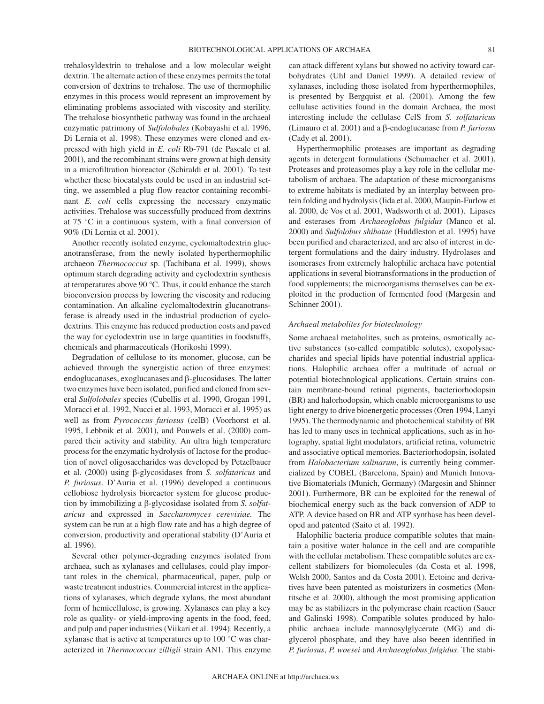trehalosyldextrin to trehalose and a low molecular weight dextrin. The alternate action of these enzymes permits the total conversion of dextrins to trehalose. The use of thermophilic enzymes in this process would represent an improvement by eliminating problems associated with viscosity and sterility. The trehalose biosynthetic pathway was found in the archaeal enzymatic patrimony of *Sulfolobales* (Kobayashi et al. 1996, Di Lernia et al. 1998). These enzymes were cloned and expressed with high yield in *E. coli* Rb-791 (de Pascale et al. 2001), and the recombinant strains were grown at high density in a microfiltration bioreactor (Schiraldi et al. 2001). To test whether these biocatalysts could be used in an industrial setting, we assembled a plug flow reactor containing recombinant *E. coli* cells expressing the necessary enzymatic activities. Trehalose was successfully produced from dextrins at 75 °C in a continuous system, with a final conversion of 90% (Di Lernia et al. 2001).

Another recently isolated enzyme, cyclomaltodextrin glucanotransferase, from the newly isolated hyperthermophilic archaeon *Thermococcus* sp. (Tachibana et al. 1999), shows optimum starch degrading activity and cyclodextrin synthesis at temperatures above 90 °C. Thus, it could enhance the starch bioconversion process by lowering the viscosity and reducing contamination. An alkaline cyclomaltodextrin glucanotransferase is already used in the industrial production of cyclodextrins. This enzyme has reduced production costs and paved the way for cyclodextrin use in large quantities in foodstuffs, chemicals and pharmaceuticals (Horikoshi 1999).

Degradation of cellulose to its monomer, glucose, can be achieved through the synergistic action of three enzymes: endoglucanases, exoglucanases and  $\beta$ -glucosidases. The latter two enzymes have been isolated, purified and cloned from several *Sulfolobales* species (Cubellis et al. 1990, Grogan 1991, Moracci et al. 1992, Nucci et al. 1993, Moracci et al. 1995) as well as from *Pyrococcus furiosus* (celB) (Voorhorst et al. 1995, Lebbnik et al. 2001), and Pouwels et al. (2000) compared their activity and stability. An ultra high temperature process for the enzymatic hydrolysis of lactose for the production of novel oligosaccharides was developed by Petzelbauer et al. (2000) using β-glycosidases from *S. solfataricus* and *P. furiosus*. D'Auria et al. (1996) developed a continuous cellobiose hydrolysis bioreactor system for glucose production by immobilizing a β-glycosidase isolated from *S. solfataricus* and expressed in *Saccharomyces cerevisiae.* The system can be run at a high flow rate and has a high degree of conversion, productivity and operational stability (D'Auria et al. 1996).

Several other polymer-degrading enzymes isolated from archaea, such as xylanases and cellulases, could play important roles in the chemical, pharmaceutical, paper, pulp or waste treatment industries. Commercial interest in the applications of xylanases, which degrade xylans, the most abundant form of hemicellulose, is growing. Xylanases can play a key role as quality- or yield-improving agents in the food, feed, and pulp and paper industries (Viikari et al. 1994). Recently, a xylanase that is active at temperatures up to 100 °C was characterized in *Thermococcus zilligii* strain AN1. This enzyme

can attack different xylans but showed no activity toward carbohydrates (Uhl and Daniel 1999). A detailed review of xylanases, including those isolated from hyperthermophiles, is presented by Bergquist et al. (2001). Among the few cellulase activities found in the domain Archaea, the most interesting include the cellulase CelS from *S. solfataricus* (Limauro et al. 2001) and a  $\beta$ -endoglucanase from *P. furiosus* (Cady et al. 2001).

BIOTECHNOLOGICAL APPLICATIONS OF ARCHAEA 81

Hyperthermophilic proteases are important as degrading agents in detergent formulations (Schumacher et al. 2001). Proteases and proteasomes play a key role in the cellular metabolism of archaea. The adaptation of these microorganisms to extreme habitats is mediated by an interplay between protein folding and hydrolysis (Iida et al. 2000, Maupin-Furlow et al. 2000, de Vos et al. 2001, Wadsworth et al. 2001). Lipases and esterases from *Archaeoglobus fulgidus* (Manco et al. 2000) and *Sulfolobus shibatae* (Huddleston et al. 1995) have been purified and characterized, and are also of interest in detergent formulations and the dairy industry. Hydrolases and isomerases from extremely halophilic archaea have potential applications in several biotransformations in the production of food supplements; the microorganisms themselves can be exploited in the production of fermented food (Margesin and Schinner 2001).

# *Archaeal metabolites for biotechnology*

Some archaeal metabolites, such as proteins, osmotically active substances (so-called compatible solutes), exopolysaccharides and special lipids have potential industrial applications. Halophilic archaea offer a multitude of actual or potential biotechnological applications. Certain strains contain membrane-bound retinal pigments, bacteriorhodopsin (BR) and halorhodopsin, which enable microorganisms to use light energy to drive bioenergetic processes (Oren 1994, Lanyi 1995). The thermodynamic and photochemical stability of BR has led to many uses in technical applications, such as in holography, spatial light modulators, artificial retina, volumetric and associative optical memories. Bacteriorhodopsin, isolated from *Halobacterium salinarum*, is currently being commercialized by COBEL (Barcelona, Spain) and Munich Innovative Biomaterials (Munich, Germany) (Margesin and Shinner 2001). Furthermore, BR can be exploited for the renewal of biochemical energy such as the back conversion of ADP to ATP. A device based on BR and ATP synthase has been developed and patented (Saito et al. 1992).

Halophilic bacteria produce compatible solutes that maintain a positive water balance in the cell and are compatible with the cellular metabolism. These compatible solutes are excellent stabilizers for biomolecules (da Costa et al. 1998, Welsh 2000, Santos and da Costa 2001). Ectoine and derivatives have been patented as moisturizers in cosmetics (Montitsche et al. 2000), although the most promising application may be as stabilizers in the polymerase chain reaction (Sauer and Galinski 1998). Compatible solutes produced by halophilic archaea include mannosylglycerate (MG) and diglycerol phosphate, and they have also beeen identified in *P. furiosus*, *P. woesei* and *Archaeoglobus fulgidus*. The stabi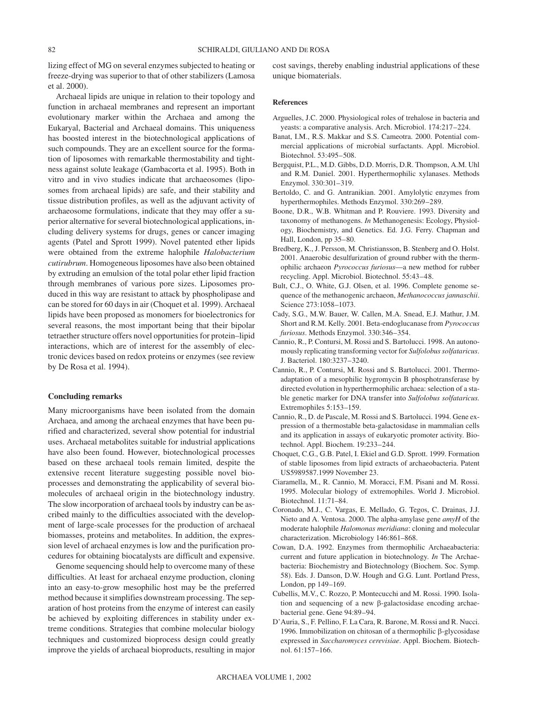lizing effect of MG on several enzymes subjected to heating or freeze-drying was superior to that of other stabilizers (Lamosa et al. 2000).

Archaeal lipids are unique in relation to their topology and function in archaeal membranes and represent an important evolutionary marker within the Archaea and among the Eukaryal, Bacterial and Archaeal domains. This uniqueness has boosted interest in the biotechnological applications of such compounds. They are an excellent source for the formation of liposomes with remarkable thermostability and tightness against solute leakage (Gambacorta et al. 1995). Both in vitro and in vivo studies indicate that archaeosomes (liposomes from archaeal lipids) are safe, and their stability and tissue distribution profiles, as well as the adjuvant activity of archaeosome formulations, indicate that they may offer a superior alternative for several biotechnological applications, including delivery systems for drugs, genes or cancer imaging agents (Patel and Sprott 1999). Novel patented ether lipids were obtained from the extreme halophile *Halobacterium cutirubrum*. Homogeneous liposomes have also been obtained by extruding an emulsion of the total polar ether lipid fraction through membranes of various pore sizes. Liposomes produced in this way are resistant to attack by phospholipase and can be stored for 60 days in air (Choquet et al. 1999). Archaeal lipids have been proposed as monomers for bioelectronics for several reasons, the most important being that their bipolar tetraether structure offers novel opportunities for protein–lipid interactions, which are of interest for the assembly of electronic devices based on redox proteins or enzymes (see review by De Rosa et al. 1994).

## **Concluding remarks**

Many microorganisms have been isolated from the domain Archaea, and among the archaeal enzymes that have been purified and characterized, several show potential for industrial uses. Archaeal metabolites suitable for industrial applications have also been found. However, biotechnological processes based on these archaeal tools remain limited, despite the extensive recent literature suggesting possible novel bioprocesses and demonstrating the applicability of several biomolecules of archaeal origin in the biotechnology industry. The slow incorporation of archaeal tools by industry can be ascribed mainly to the difficulties associated with the development of large-scale processes for the production of archaeal biomasses, proteins and metabolites. In addition, the expression level of archaeal enzymes is low and the purification procedures for obtaining biocatalysts are difficult and expensive.

Genome sequencing should help to overcome many of these difficulties. At least for archaeal enzyme production, cloning into an easy-to-grow mesophilic host may be the preferred method because it simplifies downstream processing. The separation of host proteins from the enzyme of interest can easily be achieved by exploiting differences in stability under extreme conditions. Strategies that combine molecular biology techniques and customized bioprocess design could greatly improve the yields of archaeal bioproducts, resulting in major cost savings, thereby enabling industrial applications of these unique biomaterials.

#### **References**

- Arguelles, J.C. 2000. Physiological roles of trehalose in bacteria and yeasts: a comparative analysis. Arch. Microbiol. 174:217–224.
- Banat, I.M., R.S. Makkar and S.S. Cameotra. 2000. Potential commercial applications of microbial surfactants. Appl. Microbiol. Biotechnol. 53:495–508.
- Bergquist, P.L., M.D. Gibbs, D.D. Morris, D.R. Thompson, A.M. Uhl and R.M. Daniel. 2001. Hyperthermophilic xylanases. Methods Enzymol. 330:301–319.
- Bertoldo, C. and G. Antranikian. 2001. Amylolytic enzymes from hyperthermophiles. Methods Enzymol. 330:269–289.
- Boone, D.R., W.B. Whitman and P. Rouviere. 1993. Diversity and taxonomy of methanogens. *In* Methanogenesis: Ecology, Physiology, Biochemistry, and Genetics. Ed. J.G. Ferry. Chapman and Hall, London, pp 35–80.
- Bredberg, K., J. Persson, M. Christiansson, B. Stenberg and O. Holst. 2001. Anaerobic desulfurization of ground rubber with the thermophilic archaeon *Pyrococcus furiosus*—a new method for rubber recycling. Appl. Microbiol. Biotechnol. 55:43–48.
- Bult, C.J., O. White, G.J. Olsen, et al. 1996. Complete genome sequence of the methanogenic archaeon, *Methanococcus jannaschii*. Science 273:1058–1073.
- Cady, S.G., M.W. Bauer, W. Callen, M.A. Snead, E.J. Mathur, J.M. Short and R.M. Kelly. 2001. Beta-endoglucanase from *Pyrococcus furiosus*. Methods Enzymol. 330:346–354.
- Cannio, R., P. Contursi, M. Rossi and S. Bartolucci. 1998. An autonomously replicating transforming vector for *Sulfolobus solfataricus*. J. Bacteriol. 180:3237–3240.
- Cannio, R., P. Contursi, M. Rossi and S. Bartolucci. 2001. Thermoadaptation of a mesophilic hygromycin B phosphotransferase by directed evolution in hyperthermophilic archaea: selection of a stable genetic marker for DNA transfer into *Sulfolobus solfataricus.* Extremophiles 5:153–159.
- Cannio, R., D. de Pascale, M. Rossi and S. Bartolucci. 1994. Gene expression of a thermostable beta-galactosidase in mammalian cells and its application in assays of eukaryotic promoter activity. Biotechnol. Appl. Biochem. 19:233–244.
- Choquet, C.G., G.B. Patel, I. Ekiel and G.D. Sprott. 1999. Formation of stable liposomes from lipid extracts of archaeobacteria. Patent US5989587.1999 November 23.
- Ciaramella, M., R. Cannio, M. Moracci, F.M. Pisani and M. Rossi. 1995. Molecular biology of extremophiles. World J. Microbiol. Biotechnol. 11:71–84.
- Coronado, M.J., C. Vargas, E. Mellado, G. Tegos, C. Drainas, J.J. Nieto and A. Ventosa. 2000. The alpha-amylase gene *amyH* of the moderate halophile *Halomonas meridiana*: cloning and molecular characterization. Microbiology 146:861–868.
- Cowan, D.A. 1992. Enzymes from thermophilic Archaeabacteria: current and future application in biotechnology. *In* The Archaebacteria: Biochemistry and Biotechnology (Biochem. Soc. Symp. 58). Eds. J. Danson, D.W. Hough and G.G. Lunt. Portland Press, London, pp 149–169.
- Cubellis, M.V., C. Rozzo, P. Montecucchi and M. Rossi. 1990. Isolation and sequencing of a new  $\beta$ -galactosidase encoding archaebacterial gene. Gene 94:89–94.
- D'Auria, S., F. Pellino, F. La Cara, R. Barone, M. Rossi and R. Nucci. 1996. Immobilization on chitosan of a thermophilic  $\beta$ -glycosidase expressed in *Saccharomyces cerevisiae*. Appl. Biochem. Biotechnol. 61:157–166.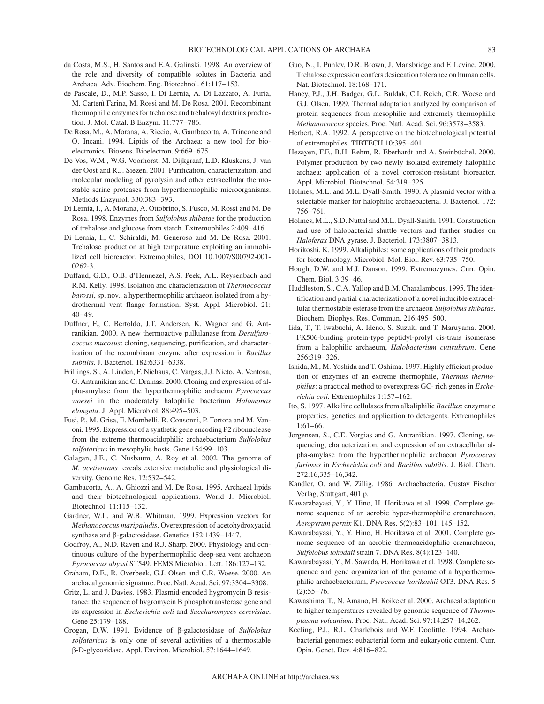- da Costa, M.S., H. Santos and E.A. Galinski. 1998. An overview of the role and diversity of compatible solutes in Bacteria and Archaea. Adv. Biochem. Eng. Biotechnol. 61:117–153.
- de Pascale, D., M.P. Sasso, I. Di Lernia, A. Di Lazzaro, A. Furia, M. Cartenì Farina, M. Rossi and M. De Rosa. 2001. Recombinant thermophilic enzymes for trehalose and trehalosyl dextrins production. J. Mol. Catal. B Enzym. 11:777–786.
- De Rosa, M., A. Morana, A. Riccio, A. Gambacorta, A. Trincone and O. Incani. 1994. Lipids of the Archaea: a new tool for bioelectronics. Biosens. Bioelectron. 9:669–675.
- De Vos, W.M., W.G. Voorhorst, M. Dijkgraaf, L.D. Kluskens, J. van der Oost and R.J. Siezen. 2001. Purification, characterization, and molecular modeling of pyrolysin and other extracellular thermostable serine proteases from hyperthermophilic microorganisms. Methods Enzymol. 330:383–393.
- Di Lernia, I., A. Morana, A. Ottobrino, S. Fusco, M. Rossi and M. De Rosa. 1998. Enzymes from *Sulfolobus shibatae* for the production of trehalose and glucose from starch. Extremophiles 2:409–416.
- Di Lernia, I., C. Schiraldi, M. Generoso and M. De Rosa. 2001. Trehalose production at high temperature exploiting an immobilized cell bioreactor. Extremophiles, DOI 10.1007/S00792-001- 0262-3.
- Duffaud, G.D., O.B. d'Hennezel, A.S. Peek, A.L. Reysenbach and R.M. Kelly. 1998. Isolation and characterization of *Thermococcus barossi*, sp. nov., a hyperthermophilic archaeon isolated from a hydrothermal vent flange formation. Syst. Appl. Microbiol. 21: 40–49.
- Duffner, F., C. Bertoldo, J.T. Andersen, K. Wagner and G. Antranikian. 2000. A new thermoactive pullulanase from *Desulfurococcus mucosus*: cloning, sequencing, purification, and characterization of the recombinant enzyme after expression in *Bacillus subtilis*. J. Bacteriol. 182:6331–6338.
- Frillings, S., A. Linden, F. Niehaus, C. Vargas, J.J. Nieto, A. Ventosa, G. Antranikian and C. Drainas. 2000. Cloning and expression of alpha-amylase from the hyperthermophilic archaeon *Pyrococcus woesei* in the moderately halophilic bacterium *Halomonas elongata*. J. Appl. Microbiol. 88:495–503.
- Fusi, P., M. Grisa, E. Mombelli, R. Consonni, P. Tortora and M. Vanoni. 1995. Expression of a synthetic gene encoding P2 ribonuclease from the extreme thermoacidophilic archaebacterium *Sulfolobus solfataricus* in mesophylic hosts. Gene 154:99–103.
- Galagan, J.E., C. Nusbaum, A. Roy et al. 2002. The genome of *M. acetivorans* reveals extensive metabolic and physiological diversity. Genome Res. 12:532–542.
- Gambacorta, A., A. Ghiozzi and M. De Rosa. 1995. Archaeal lipids and their biotechnological applications. World J. Microbiol. Biotechnol. 11:115–132.
- Gardner, W.L. and W.B. Whitman. 1999. Expression vectors for *Methanococcus maripaludis*. Overexpression of acetohydroxyacid synthase and  $\beta$ -galactosidase. Genetics 152:1439-1447.
- Godfroy, A., N.D. Raven and R.J. Sharp. 2000. Physiology and continuous culture of the hyperthermophilic deep-sea vent archaeon *Pyrococcus abyssi* ST549. FEMS Microbiol. Lett. 186:127–132.
- Graham, D.E., R. Overbeek, G.J. Olsen and C.R. Woese. 2000. An archaeal genomic signature. Proc. Natl. Acad. Sci. 97:3304–3308.
- Gritz, L. and J. Davies. 1983. Plasmid-encoded hygromycin B resistance: the sequence of hygromycin B phosphotransferase gene and its expression in *Escherichia coli* and *Saccharomyces cerevisiae*. Gene 25:179–188.
- Grogan, D.W. 1991. Evidence of β-galactosidase of *Sulfolobus solfataricus* is only one of several activities of a thermostable --D-glycosidase. Appl. Environ. Microbiol. 57:1644–1649.
- Guo, N., I. Puhlev, D.R. Brown, J. Mansbridge and F. Levine. 2000. Trehalose expression confers desiccation tolerance on human cells. Nat. Biotechnol. 18:168–171.
- Haney, P.J., J.H. Badger, G.L. Buldak, C.I. Reich, C.R. Woese and G.J. Olsen. 1999. Thermal adaptation analyzed by comparison of protein sequences from mesophilic and extremely thermophilic *Methanococcus* species. Proc. Natl. Acad. Sci. 96:3578–3583.
- Herbert, R.A. 1992. A perspective on the biotechnological potential of extremophiles. TIBTECH 10:395–401.
- Hezayen, F.F., B.H. Rehm, R. Eberhardt and A. Steinbüchel. 2000. Polymer production by two newly isolated extremely halophilic archaea: application of a novel corrosion-resistant bioreactor. Appl. Microbiol. Biotechnol. 54:319–325.
- Holmes, M.L. and M.L. Dyall-Smith. 1990. A plasmid vector with a selectable marker for halophilic archaebacteria. J. Bacteriol. 172: 756–761.
- Holmes, M.L., S.D. Nuttal and M.L. Dyall-Smith. 1991. Construction and use of halobacterial shuttle vectors and further studies on *Haloferax* DNA gyrase. J. Bacteriol. 173:3807–3813.
- Horikoshi, K. 1999. Alkaliphiles: some applications of their products for biotechnology. Microbiol. Mol. Biol. Rev. 63:735–750.
- Hough, D.W. and M.J. Danson. 1999. Extremozymes. Curr. Opin. Chem. Biol. 3:39–46.
- Huddleston, S., C.A. Yallop and B.M. Charalambous. 1995. The identification and partial characterization of a novel inducible extracellular thermostable esterase from the archaeon *Sulfolobus shibatae*. Biochem. Biophys. Res. Commun. 216:495–500.
- Iida, T., T. Iwabuchi, A. Ideno, S. Suzuki and T. Maruyama. 2000. FK506-binding protein-type peptidyl-prolyl cis-trans isomerase from a halophilic archaeum, *Halobacterium cutirubrum*. Gene 256:319–326.
- Ishida, M., M. Yoshida and T. Oshima. 1997. Highly efficient production of enzymes of an extreme thermophile, *Thermus thermophilus*: a practical method to overexpress GC- rich genes in *Escherichia coli*. Extremophiles 1:157–162.
- Ito, S. 1997. Alkaline cellulases from alkaliphilic *Bacillus*: enzymatic properties, genetics and application to detergents. Extremophiles 1:61–66.
- Jorgensen, S., C.E. Vorgias and G. Antranikian. 1997. Cloning, sequencing, characterization, and expression of an extracellular alpha-amylase from the hyperthermophilic archaeon *Pyrococcus furiosus* in *Escherichia coli* and *Bacillus subtilis*. J. Biol. Chem. 272:16,335–16,342.
- Kandler, O. and W. Zillig. 1986. Archaebacteria. Gustav Fischer Verlag, Stuttgart, 401 p.
- Kawarabayasi, Y., Y. Hino, H. Horikawa et al. 1999. Complete genome sequence of an aerobic hyper-thermophilic crenarchaeon, *Aeropyrum pernix* K1. DNA Res. 6(2):83–101, 145–152.
- Kawarabayasi, Y., Y. Hino, H. Horikawa et al. 2001. Complete genome sequence of an aerobic thermoacidophilic crenarchaeon, *Sulfolobus tokodaii* strain 7. DNA Res. 8(4):123–140.
- Kawarabayasi, Y., M. Sawada, H. Horikawa et al. 1998. Complete sequence and gene organization of the genome of a hyperthermophilic archaebacterium, *Pyrococcus horikoshii* OT3. DNA Res. 5  $(2):$ 55–76.
- Kawashima, T., N. Amano, H. Koike et al. 2000. Archaeal adaptation to higher temperatures revealed by genomic sequence of *Thermoplasma volcanium*. Proc. Natl. Acad. Sci. 97:14,257–14,262.
- Keeling, P.J., R.L. Charlebois and W.F. Doolittle. 1994. Archaebacterial genomes: eubacterial form and eukaryotic content. Curr. Opin. Genet. Dev. 4:816–822.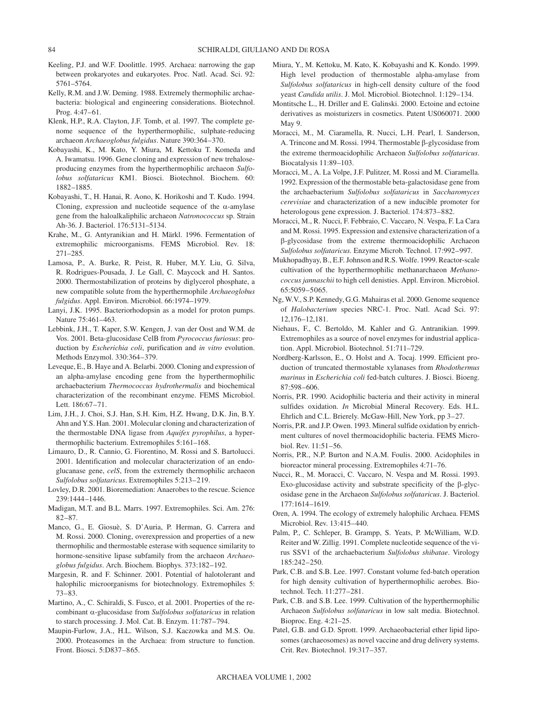- Keeling, P.J. and W.F. Doolittle. 1995. Archaea: narrowing the gap between prokaryotes and eukaryotes. Proc. Natl. Acad. Sci. 92: 5761–5764.
- Kelly, R.M. and J.W. Deming. 1988. Extremely thermophilic archaebacteria: biological and engineering considerations. Biotechnol. Prog. 4:47–61.
- Klenk, H.P., R.A. Clayton, J.F. Tomb, et al. 1997. The complete genome sequence of the hyperthermophilic, sulphate-reducing archaeon *Archaeoglobus fulgidus*. Nature 390:364–370.
- Kobayashi, K., M. Kato, Y. Miura, M. Kettoku T. Komeda and A. Iwamatsu. 1996. Gene cloning and expression of new trehaloseproducing enzymes from the hyperthermophilic archaeon *Sulfolobus solfataricus* KM1. Biosci. Biotechnol. Biochem. 60: 1882–1885.
- Kobayashi, T., H. Hanai, R. Aono, K. Horikoshi and T. Kudo. 1994. Cloning, expression and nucleotide sequence of the  $\alpha$ -amylase gene from the haloalkaliphilic archaeon *Natronococcus* sp. Strain Ah-36. J. Bacteriol. 176:5131–5134.
- Krahe, M., G. Antyranikian and H. Märkl. 1996. Fermentation of extremophilic microorganisms. FEMS Microbiol. Rev. 18: 271–285.
- Lamosa, P., A. Burke, R. Peist, R. Huber, M.Y. Liu, G. Silva, R. Rodrigues-Pousada, J. Le Gall, C. Maycock and H. Santos. 2000. Thermostabilization of proteins by diglycerol phosphate, a new compatible solute from the hyperthermophile *Archaeoglobus fulgidus*. Appl. Environ. Microbiol. 66:1974–1979.
- Lanyi, J.K. 1995. Bacteriorhodopsin as a model for proton pumps. Nature 75:461–463.
- Lebbink, J.H., T. Kaper, S.W. Kengen, J. van der Oost and W.M. de Vos. 2001. Beta-glucosidase CelB from *Pyrococcus furiosus*: production by *Escherichia coli*, purification and *in vitro* evolution. Methods Enzymol. 330:364–379.
- Leveque, E., B. Haye and A. Belarbi. 2000. Cloning and expression of an alpha-amylase encoding gene from the hyperthermophilic archaebacterium *Thermococcus hydrothermalis* and biochemical characterization of the recombinant enzyme. FEMS Microbiol. Lett. 186:67–71.
- Lim, J.H., J. Choi, S.J. Han, S.H. Kim, H.Z. Hwang, D.K. Jin, B.Y. Ahn and Y.S. Han. 2001. Molecular cloning and characterization of the thermostable DNA ligase from *Aquifex pyrophilus*, a hyperthermophilic bacterium. Extremophiles 5:161–168.
- Limauro, D., R. Cannio, G. Fiorentino, M. Rossi and S. Bartolucci. 2001. Identification and molecular characterization of an endoglucanase gene, *celS*, from the extremely thermophilic archaeon *Sulfolobus solfataricus*. Extremophiles 5:213–219.
- Lovley, D.R. 2001. Bioremediation: Anaerobes to the rescue. Science 239:1444–1446.
- Madigan, M.T. and B.L. Marrs. 1997. Extremophiles. Sci. Am. 276: 82–87.
- Manco, G., E. Giosuè, S. D'Auria, P. Herman, G. Carrera and M. Rossi. 2000. Cloning, overexpression and properties of a new thermophilic and thermostable esterase with sequence similarity to hormone-sensitive lipase subfamily from the archaeon *Archaeoglobus fulgidus*. Arch. Biochem. Biophys. 373:182–192.
- Margesin, R. and F. Schinner. 2001. Potential of halotolerant and halophilic microorganisms for biotechnology. Extremophiles 5: 73–83.
- Martino, A., C. Schiraldi, S. Fusco, et al. 2001. Properties of the recombinant  $\alpha$ -glucosidase from *Sulfolobus solfataricus* in relation to starch processing. J. Mol. Cat. B. Enzym. 11:787–794.
- Maupin-Furlow, J.A., H.L. Wilson, S.J. Kaczowka and M.S. Ou. 2000. Proteasomes in the Archaea: from structure to function. Front. Biosci. 5:D837–865.
- Miura, Y., M. Kettoku, M. Kato, K. Kobayashi and K. Kondo. 1999. High level production of thermostable alpha-amylase from *Sulfolobus solfataricus* in high-cell density culture of the food yeast *Candida utilis*. J. Mol. Microbiol. Biotechnol. 1:129–134.
- Montitsche L., H. Driller and E. Galinski. 2000. Ectoine and ectoine derivatives as moisturizers in cosmetics. Patent US060071. 2000 May 9.
- Moracci, M., M. Ciaramella, R. Nucci, L.H. Pearl, I. Sanderson, A. Trincone and M. Rossi. 1994. Thermostable  $\beta$ -glycosidase from the extreme thermoacidophilic Archaeon *Sulfolobus solfataricus*. Biocatalysis 11:89–103.
- Moracci, M., A. La Volpe, J.F. Pulitzer, M. Rossi and M. Ciaramella. 1992. Expression of the thermostable beta-galactosidase gene from the archaebacterium *Sulfolobus solfataricus* in *Saccharomyces cerevisiae* and characterization of a new inducible promoter for heterologous gene expression. J. Bacteriol. 174:873–882.
- Moracci, M., R. Nucci, F. Febbraio, C. Vaccaro, N. Vespa, F. La Cara and M. Rossi. 1995. Expression and extensive characterization of a --glycosidase from the extreme thermoacidophilic Archaeon *Sulfolobus solfataricus.* Enzyme Microb. Technol. 17:992–997.
- Mukhopadhyay, B., E.F. Johnson and R.S. Wolfe. 1999. Reactor-scale cultivation of the hyperthermophilic methanarchaeon *Methanococcus jannaschii* to high cell denisties. Appl. Environ. Microbiol. 65:5059–5065.
- Ng, W.V., S.P. Kennedy, G.G. Mahairas et al. 2000. Genome sequence of *Halobacterium* species NRC-1. Proc. Natl. Acad Sci. 97: 12,176–12,181.
- Niehaus, F., C. Bertoldo, M. Kahler and G. Antranikian. 1999. Extremophiles as a source of novel enzymes for industrial application. Appl. Microbiol. Biotechnol. 51:711–729.
- Nordberg-Karlsson, E., O. Holst and A. Tocaj. 1999. Efficient production of truncated thermostable xylanases from *Rhodothermus marinus* in *Escherichia coli* fed-batch cultures. J. Biosci. Bioeng. 87:598–606.
- Norris, P.R. 1990. Acidophilic bacteria and their activity in mineral sulfides oxidation. *In* Microbial Mineral Recovery. Eds. H.L. Ehrlich and C.L. Brierely. McGaw-Hill, New York, pp 3–27.
- Norris, P.R. and J.P. Owen. 1993. Mineral sulfide oxidation by enrichment cultures of novel thermoacidophilic bacteria. FEMS Microbiol. Rev. 11:51–56.
- Norris, P.R., N.P. Burton and N.A.M. Foulis. 2000. Acidophiles in bioreactor mineral processing. Extremophiles 4:71–76.
- Nucci, R., M. Moracci, C. Vaccaro, N. Vespa and M. Rossi. 1993. Exo-glucosidase activity and substrate specificity of the  $\beta$ -glycosidase gene in the Archaeon *Sulfolobus solfataricus*. J. Bacteriol. 177:1614–1619.
- Oren, A. 1994. The ecology of extremely halophilic Archaea. FEMS Microbiol. Rev. 13:415–440.
- Palm, P., C. Schleper, B. Grampp, S. Yeats, P. McWilliam, W.D. Reiter and W. Zillig. 1991. Complete nucleotide sequence of the virus SSV1 of the archaebacterium *Sulfolobus shibatae*. Virology 185:242–250.
- Park, C.B. and S.B. Lee. 1997. Constant volume fed-batch operation for high density cultivation of hyperthermophilic aerobes. Biotechnol. Tech. 11:277–281.
- Park, C.B. and S.B. Lee. 1999. Cultivation of the hyperthermophilic Archaeon *Sulfolobus solfataricus* in low salt media. Biotechnol. Bioproc. Eng. 4:21–25.
- Patel, G.B. and G.D. Sprott. 1999. Archaeobacterial ether lipid liposomes (archaeosomes) as novel vaccine and drug delivery systems. Crit. Rev. Biotechnol. 19:317–357.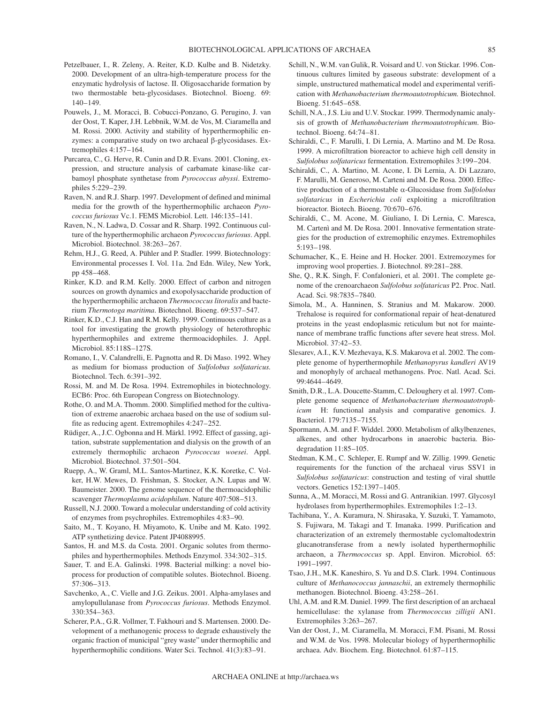- Petzelbauer, I., R. Zeleny, A. Reiter, K.D. Kulbe and B. Nidetzky. 2000. Development of an ultra-high-temperature process for the enzymatic hydrolysis of lactose. II. Oligosaccharide formation by two thermostable beta-glycosidases. Biotechnol. Bioeng. 69: 140–149.
- Pouwels, J., M. Moracci, B. Cobucci-Ponzano, G. Perugino, J. van der Oost, T. Kaper, J.H. Lebbnik, W.M. de Vos, M. Ciaramella and M. Rossi. 2000. Activity and stability of hyperthermophilic en $z$ ymes: a comparative study on two archaeal  $\beta$ -glycosidases. Extremophiles 4:157–164.
- Purcarea, C., G. Herve, R. Cunin and D.R. Evans. 2001. Cloning, expression, and structure analysis of carbamate kinase-like carbamoyl phosphate synthetase from *Pyrococcus abyssi*. Extremophiles 5:229–239.
- Raven, N. and R.J. Sharp. 1997. Development of defined and minimal media for the growth of the hyperthermophilic archaeon *Pyrococcus furiosus* Vc.1. FEMS Microbiol. Lett. 146:135–141.
- Raven, N., N. Ladwa, D. Cossar and R. Sharp. 1992. Continuous culture of the hyperthermophilic archaeon *Pyrococcus furiosus*. Appl. Microbiol. Biotechnol. 38:263–267.
- Rehm, H.J., G. Reed, A. Pühler and P. Stadler. 1999. Biotechnology: Environmental processes I. Vol. 11a. 2nd Edn. Wiley, New York, pp 458–468.
- Rinker, K.D. and R.M. Kelly. 2000. Effect of carbon and nitrogen sources on growth dynamics and exopolysaccharide production of the hyperthermophilic archaeon *Thermococcus litoralis* and bacterium *Thermotoga maritima*. Biotechnol. Bioeng. 69:537–547.
- Rinker, K.D., C.J. Han and R.M. Kelly. 1999. Continuous culture as a tool for investigating the growth physiology of heterothrophic hyperthermophiles and extreme thermoacidophiles. J. Appl. Microbiol. 85:118S–127S.
- Romano, I., V. Calandrelli, E. Pagnotta and R. Di Maso. 1992. Whey as medium for biomass production of *Sulfolobus solfataricus.* Biotechnol. Tech. 6:391–392.
- Rossi, M. and M. De Rosa. 1994. Extremophiles in biotechnology. ECB6: Proc. 6th European Congress on Biotechnology.
- Rothe, O. and M.A. Thomm. 2000. Simplified method for the cultivation of extreme anaerobic archaea based on the use of sodium sulfite as reducing agent. Extremophiles 4:247–252.
- Rüdiger, A., J.C. Ogbonna and H. Märkl. 1992. Effect of gassing, agitation, substrate supplementation and dialysis on the growth of an extremely thermophilic archaeon *Pyrococcus woesei*. Appl. Microbiol. Biotechnol. 37:501–504.
- Ruepp, A., W. Graml, M.L. Santos-Martinez, K.K. Koretke, C. Volker, H.W. Mewes, D. Frishman, S. Stocker, A.N. Lupas and W. Baumeister. 2000. The genome sequence of the thermoacidophilic scavenger *Thermoplasma acidophilum*. Nature 407:508–513.
- Russell, N.J. 2000. Toward a molecular understanding of cold activity of enzymes from psychrophiles. Extremophiles 4:83–90.
- Saito, M., T. Koyano, H. Miyamoto, K. Unibe and M. Kato. 1992. ATP synthetizing device. Patent JP4088995.
- Santos, H. and M.S. da Costa. 2001. Organic solutes from thermophiles and hyperthermophiles. Methods Enzymol. 334:302–315.
- Sauer, T. and E.A. Galinski. 1998. Bacterial milking: a novel bioprocess for production of compatible solutes. Biotechnol. Bioeng. 57:306–313.
- Savchenko, A., C. Vielle and J.G. Zeikus. 2001. Alpha-amylases and amylopullulanase from *Pyrococcus furiosus*. Methods Enzymol. 330:354–363.
- Scherer, P.A., G.R. Vollmer, T. Fakhouri and S. Martensen. 2000. Development of a methanogenic process to degrade exhaustively the organic fraction of municipal "grey waste" under thermophilic and hyperthermophilic conditions. Water Sci. Technol. 41(3):83–91.
- Schill, N., W.M. van Gulik, R. Voisard and U. von Stickar. 1996. Continuous cultures limited by gaseous substrate: development of a simple, unstructured mathematical model and experimental verification with *Methanobacterium thermoautotrophicum.* Biotechnol. Bioeng. 51:645–658.
- Schill, N.A., J.S. Liu and U.V. Stockar. 1999. Thermodynamic analysis of growth of *Methanobacterium thermoautotrophicum*. Biotechnol. Bioeng. 64:74–81.
- Schiraldi, C., F. Marulli, I. Di Lernia, A. Martino and M. De Rosa. 1999. A microfiltration bioreactor to achieve high cell density in *Sulfolobus solfataricus* fermentation. Extremophiles 3:199–204.
- Schiraldi, C., A. Martino, M. Acone, I. Di Lernia, A. Di Lazzaro, F. Marulli, M. Generoso, M. Carteni and M. De Rosa. 2000. Effective production of a thermostable α-Glucosidase from *Sulfolobus solfataricus* in *Escherichia coli* exploiting a microfiltration bioreactor. Biotech. Bioeng. 70:670–676.
- Schiraldi, C., M. Acone, M. Giuliano, I. Di Lernia, C. Maresca, M. Cartenì and M. De Rosa. 2001. Innovative fermentation strategies for the production of extremophilic enzymes. Extremophiles 5:193–198.
- Schumacher, K., E. Heine and H. Hocker. 2001. Extremozymes for improving wool properties. J. Biotechnol. 89:281–288.
- She, Q., R.K. Singh, F. Confalonieri, et al. 2001. The complete genome of the crenoarchaeon *Sulfolobus solfataricus* P2. Proc. Natl. Acad. Sci. 98:7835–7840.
- Simola, M., A. Hanninen, S. Stranius and M. Makarow. 2000. Trehalose is required for conformational repair of heat-denatured proteins in the yeast endoplasmic reticulum but not for maintenance of membrane traffic functions after severe heat stress. Mol. Microbiol. 37:42–53.
- Slesarev, A.I., K.V. Mezhevaya, K.S. Makarova et al. 2002. The complete genome of hyperthermophile *Methanopyrus kandleri* AV19 and monophyly of archaeal methanogens. Proc. Natl. Acad. Sci. 99:4644–4649.
- Smith, D.R., L.A. Doucette-Stamm, C. Deloughery et al. 1997. Complete genome sequence of *Methanobacterium thermoautotrophicum* H: functional analysis and comparative genomics. J. Bacteriol. 179:7135–7155.
- Spormann, A.M. and F. Widdel. 2000. Metabolism of alkylbenzenes, alkenes, and other hydrocarbons in anaerobic bacteria. Biodegradation 11:85–105.
- Stedman, K.M., C. Schleper, E. Rumpf and W. Zillig. 1999. Genetic requirements for the function of the archaeal virus SSV1 in *Sulfolobus solfataricus*: construction and testing of viral shuttle vectors. Genetics 152:1397–1405.
- Sunna, A., M. Moracci, M. Rossi and G. Antranikian. 1997. Glycosyl hydrolases from hyperthermophiles. Extremophiles 1:2–13.
- Tachibana, Y., A. Kuramura, N. Shirasaka, Y. Suzuki, T. Yamamoto, S. Fujiwara, M. Takagi and T. Imanaka. 1999. Purification and characterization of an extremely thermostable cyclomaltodextrin glucanotransferase from a newly isolated hyperthermophilic archaeon, a *Thermococcus* sp. Appl. Environ. Microbiol. 65: 1991–1997.
- Tsao, J.H., M.K. Kaneshiro, S. Yu and D.S. Clark. 1994. Continuous culture of *Methanococcus jannaschii*, an extremely thermophilic methanogen. Biotechnol. Bioeng. 43:258–261.
- Uhl, A.M. and R.M. Daniel. 1999. The first description of an archaeal hemicellulase: the xylanase from *Thermococcus zilligii* AN1. Extremophiles 3:263–267.
- Van der Oost, J., M. Ciaramella, M. Moracci, F.M. Pisani, M. Rossi and W.M. de Vos. 1998. Molecular biology of hyperthermophilic archaea. Adv. Biochem. Eng. Biotechnol. 61:87–115.